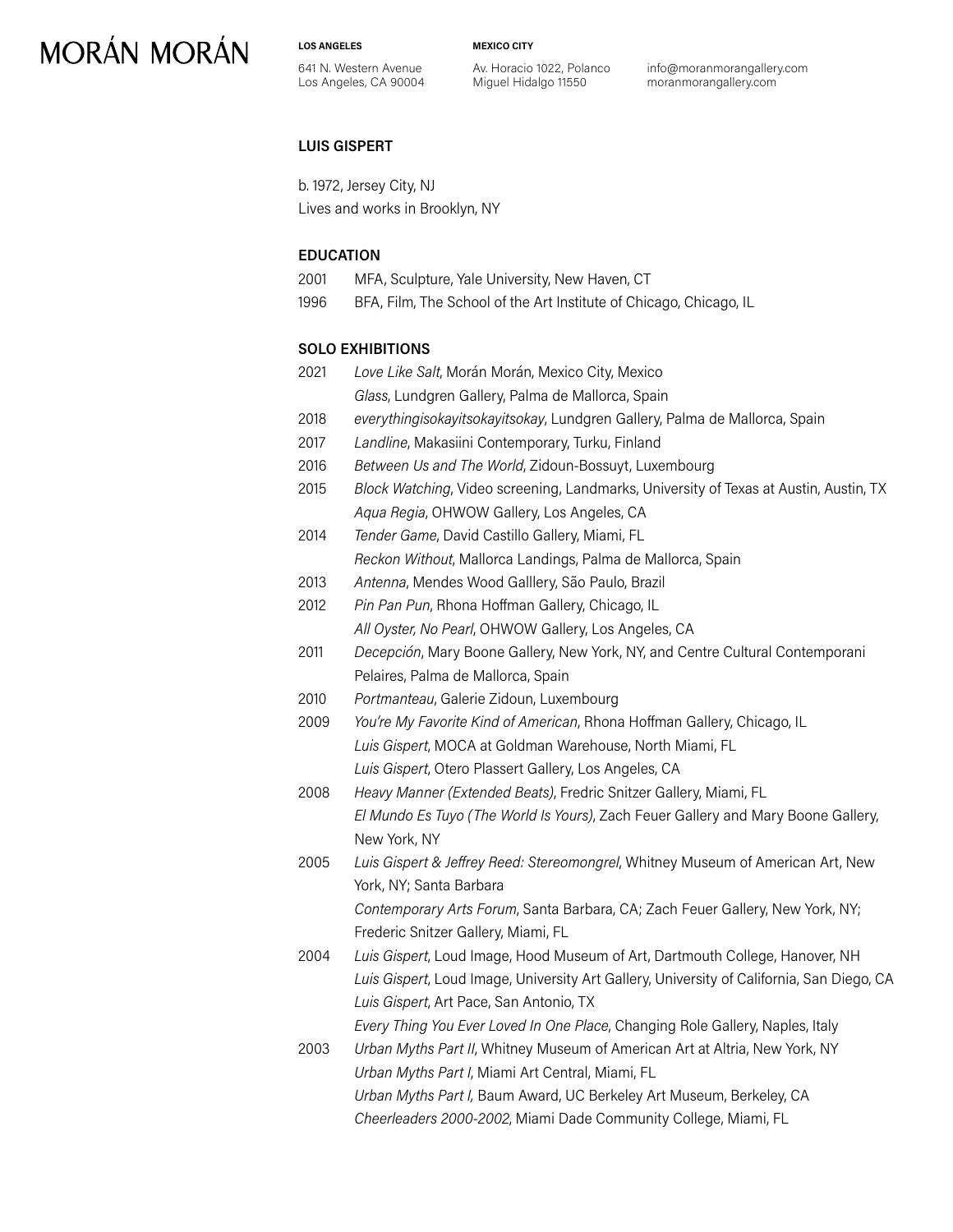**LOS ANGELES**

641 N. Western Avenue Los Angeles, CA 90004 **MEXICO CITY**

Av. Horacio 1022, Polanco Miguel Hidalgo 11550

info@moranmorangallery.com moranmorangallery.com

### **LUIS GISPERT**

b. 1972, Jersey City, NJ Lives and works in Brooklyn, NY

### **EDUCATION**

| 2001 | MFA, Sculpture, Yale University, New Haven, CT |
|------|------------------------------------------------|
|------|------------------------------------------------|

1996 BFA, Film, The School of the Art Institute of Chicago, Chicago, IL

### **SOLO EXHIBITIONS**

- 2021 *Love Like Salt*, Morán Morán, Mexico City, Mexico *Glass*, Lundgren Gallery, Palma de Mallorca, Spain 2018 *everythingisokayitsokayitsokay*, Lundgren Gallery, Palma de Mallorca, Spain 2017 *Landline*, Makasiini Contemporary, Turku, Finland 2016 *Between Us and The World*, Zidoun-Bossuyt, Luxembourg 2015 *Block Watching*, Video screening, Landmarks, University of Texas at Austin, Austin, TX *Aqua Regia*, OHWOW Gallery, Los Angeles, CA 2014 *Tender Game*, David Castillo Gallery, Miami, FL *Reckon Without*, Mallorca Landings, Palma de Mallorca, Spain 2013 *Antenna*, Mendes Wood Galllery, São Paulo, Brazil
- 2012 *Pin Pan Pun*, Rhona Hoffman Gallery, Chicago, IL *All Oyster, No Pearl*, OHWOW Gallery, Los Angeles, CA
- 2011 *Decepción*, Mary Boone Gallery, New York, NY, and Centre Cultural Contemporani Pelaires, Palma de Mallorca, Spain
- 2010 *Portmanteau*, Galerie Zidoun, Luxembourg
- 2009 *You're My Favorite Kind of American*, Rhona Hoffman Gallery, Chicago, IL *Luis Gispert*, MOCA at Goldman Warehouse, North Miami, FL *Luis Gispert*, Otero Plassert Gallery, Los Angeles, CA
- 2008 *Heavy Manner (Extended Beats)*, Fredric Snitzer Gallery, Miami, FL *El Mundo Es Tuyo (The World Is Yours)*, Zach Feuer Gallery and Mary Boone Gallery, New York, NY
- 2005 *Luis Gispert & Jeffrey Reed: Stereomongrel*, Whitney Museum of American Art, New York, NY; Santa Barbara

*Contemporary Arts Forum*, Santa Barbara, CA; Zach Feuer Gallery, New York, NY; Frederic Snitzer Gallery, Miami, FL

2004 *Luis Gispert*, Loud Image, Hood Museum of Art, Dartmouth College, Hanover, NH *Luis Gispert*, Loud Image, University Art Gallery, University of California, San Diego, CA *Luis Gispert*, Art Pace, San Antonio, TX

*Every Thing You Ever Loved In One Place*, Changing Role Gallery, Naples, Italy 2003 *Urban Myths Part II*, Whitney Museum of American Art at Altria, New York, NY

*Urban Myths Part I*, Miami Art Central, Miami, FL *Urban Myths Part I,* Baum Award, UC Berkeley Art Museum, Berkeley, CA *Cheerleaders 2000-2002*, Miami Dade Community College, Miami, FL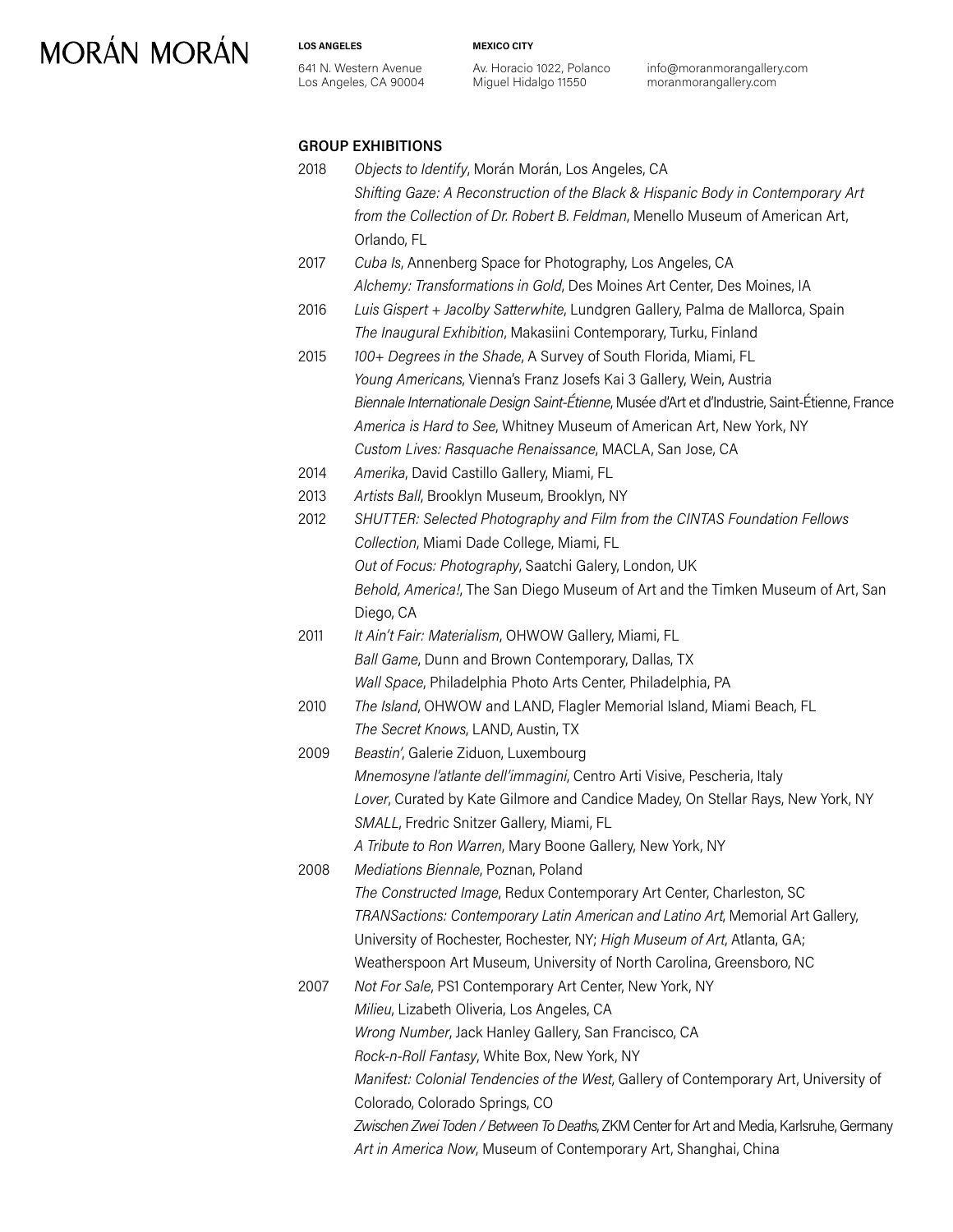#### **LOS ANGELES**

641 N. Western Avenue Los Angeles, CA 90004 **MEXICO CITY**

Av. Horacio 1022, Polanco Miguel Hidalgo 11550

info@moranmorangallery.com moranmorangallery.com

### **GROUP EXHIBITIONS**

- 2018 *Objects to Identify*, Morán Morán, Los Angeles, CA *Shifting Gaze: A Reconstruction of the Black & Hispanic Body in Contemporary Art from the Collection of Dr. Robert B. Feldman*, Menello Museum of American Art, Orlando, FL
- 2017 *Cuba Is*, Annenberg Space for Photography, Los Angeles, CA *Alchemy: Transformations in Gold*, Des Moines Art Center, Des Moines, IA
- 2016 *Luis Gispert + Jacolby Satterwhite*, Lundgren Gallery, Palma de Mallorca, Spain *The Inaugural Exhibition*, Makasiini Contemporary, Turku, Finland
- 2015 *100+ Degrees in the Shade*, A Survey of South Florida, Miami, FL *Young Americans*, Vienna's Franz Josefs Kai 3 Gallery, Wein, Austria *Biennale Internationale Design Saint-Étienne*, Musée d'Art et d'Industrie, Saint-Étienne, France *America is Hard to See*, Whitney Museum of American Art, New York, NY *Custom Lives: Rasquache Renaissance*, MACLA, San Jose, CA
- 2014 *Amerika*, David Castillo Gallery, Miami, FL
- 2013 *Artists Ball*, Brooklyn Museum, Brooklyn, NY
- 2012 *SHUTTER: Selected Photography and Film from the CINTAS Foundation Fellows Collection*, Miami Dade College, Miami, FL *Out of Focus: Photography*, Saatchi Galery, London, UK *Behold, America!*, The San Diego Museum of Art and the Timken Museum of Art, San Diego, CA
- 2011 *It Ain't Fair: Materialism*, OHWOW Gallery, Miami, FL *Ball Game*, Dunn and Brown Contemporary, Dallas, TX *Wall Space*, Philadelphia Photo Arts Center, Philadelphia, PA
- 2010 *The Island*, OHWOW and LAND, Flagler Memorial Island, Miami Beach, FL *The Secret Knows*, LAND, Austin, TX
- 2009 *Beastin'*, Galerie Ziduon, Luxembourg *Mnemosyne l'atlante dell'immagini*, Centro Arti Visive, Pescheria, Italy *Lover*, Curated by Kate Gilmore and Candice Madey, On Stellar Rays, New York, NY *SMALL*, Fredric Snitzer Gallery, Miami, FL
	- *A Tribute to Ron Warren*, Mary Boone Gallery, New York, NY

2008 *Mediations Biennale*, Poznan, Poland *The Constructed Image*, Redux Contemporary Art Center, Charleston, SC *TRANSactions: Contemporary Latin American and Latino Art*, Memorial Art Gallery, University of Rochester, Rochester, NY; *High Museum of Art*, Atlanta, GA; Weatherspoon Art Museum, University of North Carolina, Greensboro, NC

2007 *Not For Sale*, PS1 Contemporary Art Center, New York, NY *Milieu*, Lizabeth Oliveria, Los Angeles, CA *Wrong Number*, Jack Hanley Gallery, San Francisco, CA *Rock-n-Roll Fantasy*, White Box, New York, NY *Manifest: Colonial Tendencies of the West*, Gallery of Contemporary Art, University of Colorado, Colorado Springs, CO *Zwischen Zwei Toden / Between To Deaths*, ZKM Center for Art and Media, Karlsruhe, Germany *Art in America Now*, Museum of Contemporary Art, Shanghai, China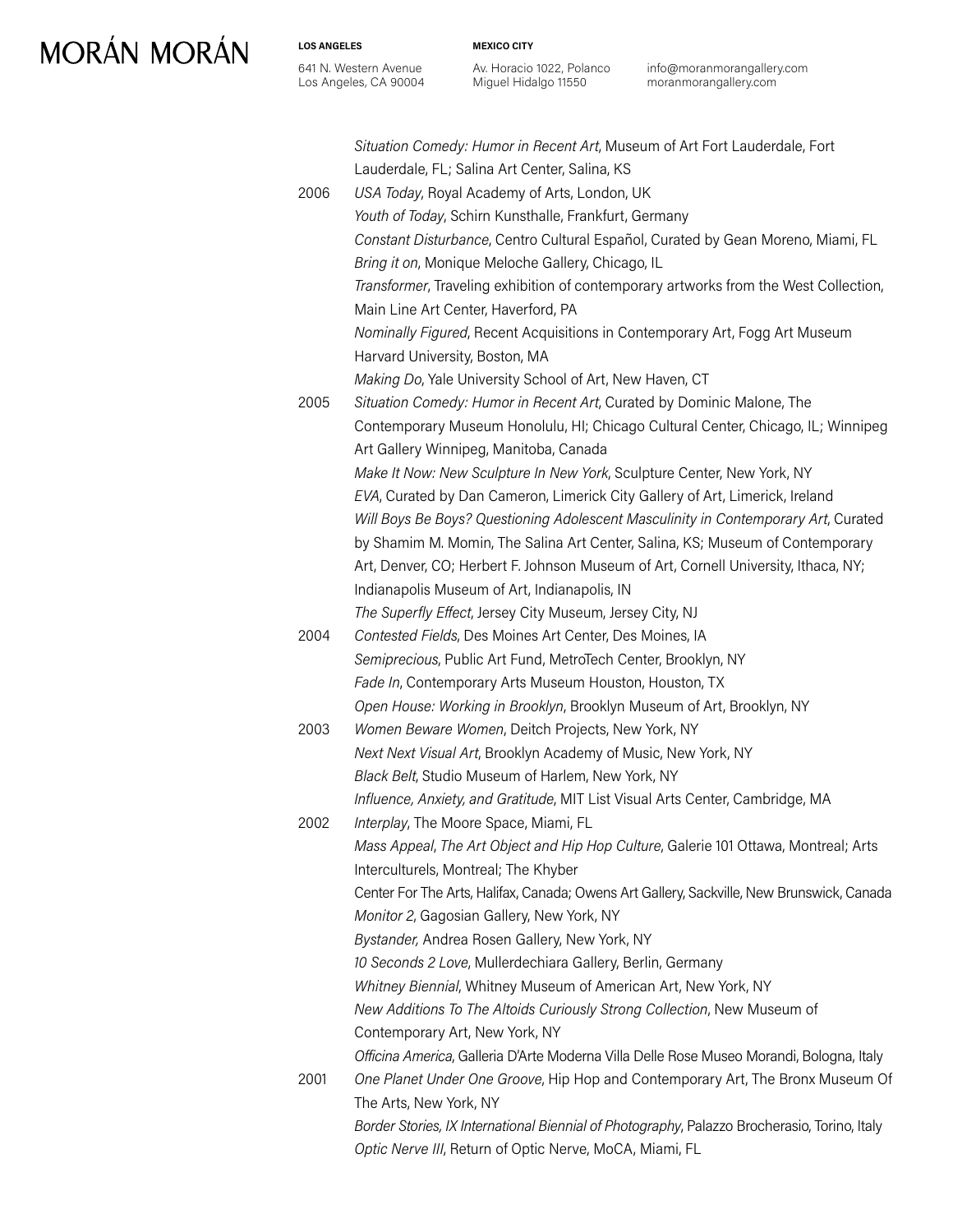**LOS ANGELES** 641 N. Western Avenue Los Angeles, CA 90004 **MEXICO CITY**

Av. Horacio 1022, Polanco Miguel Hidalgo 11550

info@moranmorangallery.com moranmorangallery.com

|      | Situation Comedy: Humor in Recent Art, Museum of Art Fort Lauderdale, Fort<br>Lauderdale, FL; Salina Art Center, Salina, KS |
|------|-----------------------------------------------------------------------------------------------------------------------------|
| 2006 | USA Today, Royal Academy of Arts, London, UK                                                                                |
|      | Youth of Today, Schirn Kunsthalle, Frankfurt, Germany                                                                       |
|      | Constant Disturbance, Centro Cultural Español, Curated by Gean Moreno, Miami, FL                                            |
|      | Bring it on, Monique Meloche Gallery, Chicago, IL                                                                           |
|      | Transformer, Traveling exhibition of contemporary artworks from the West Collection,                                        |
|      | Main Line Art Center, Haverford, PA                                                                                         |
|      | Nominally Figured, Recent Acquisitions in Contemporary Art, Fogg Art Museum                                                 |
|      | Harvard University, Boston, MA                                                                                              |
|      | Making Do, Yale University School of Art, New Haven, CT                                                                     |
| 2005 | Situation Comedy: Humor in Recent Art, Curated by Dominic Malone, The                                                       |
|      | Contemporary Museum Honolulu, HI; Chicago Cultural Center, Chicago, IL; Winnipeg                                            |
|      | Art Gallery Winnipeg, Manitoba, Canada                                                                                      |
|      | Make It Now: New Sculpture In New York, Sculpture Center, New York, NY                                                      |
|      | EVA, Curated by Dan Cameron, Limerick City Gallery of Art, Limerick, Ireland                                                |
|      | Will Boys Be Boys? Questioning Adolescent Masculinity in Contemporary Art, Curated                                          |
|      | by Shamim M. Momin, The Salina Art Center, Salina, KS; Museum of Contemporary                                               |
|      | Art, Denver, CO; Herbert F. Johnson Museum of Art, Cornell University, Ithaca, NY;                                          |
|      | Indianapolis Museum of Art, Indianapolis, IN                                                                                |
|      | The Superfly Effect, Jersey City Museum, Jersey City, NJ                                                                    |
| 2004 | Contested Fields, Des Moines Art Center, Des Moines, IA                                                                     |
|      | Semiprecious, Public Art Fund, MetroTech Center, Brooklyn, NY                                                               |
|      | Fade In, Contemporary Arts Museum Houston, Houston, TX                                                                      |
|      | Open House: Working in Brooklyn, Brooklyn Museum of Art, Brooklyn, NY                                                       |
| 2003 | Women Beware Women, Deitch Projects, New York, NY                                                                           |
|      | Next Next Visual Art, Brooklyn Academy of Music, New York, NY                                                               |
|      | Black Belt, Studio Museum of Harlem, New York, NY                                                                           |
|      | Influence, Anxiety, and Gratitude, MIT List Visual Arts Center, Cambridge, MA                                               |
| 2002 | Interplay, The Moore Space, Miami, FL                                                                                       |
|      | Mass Appeal, The Art Object and Hip Hop Culture, Galerie 101 Ottawa, Montreal; Arts                                         |
|      | Interculturels, Montreal; The Khyber                                                                                        |
|      | Center For The Arts, Halifax, Canada; Owens Art Gallery, Sackville, New Brunswick, Canada                                   |
|      | Monitor 2, Gagosian Gallery, New York, NY                                                                                   |
|      | Bystander, Andrea Rosen Gallery, New York, NY                                                                               |
|      | 10 Seconds 2 Love, Mullerdechiara Gallery, Berlin, Germany                                                                  |
|      | Whitney Biennial, Whitney Museum of American Art, New York, NY                                                              |
|      | New Additions To The Altoids Curiously Strong Collection, New Museum of                                                     |
|      | Contemporary Art, New York, NY                                                                                              |
|      | Officina America, Galleria D'Arte Moderna Villa Delle Rose Museo Morandi, Bologna, Italy                                    |
| 2001 | One Planet Under One Groove, Hip Hop and Contemporary Art, The Bronx Museum Of                                              |
|      | The Arts, New York, NY                                                                                                      |
|      | Border Stories, IX International Biennial of Photography, Palazzo Brocherasio, Torino, Italy                                |
|      | Optic Nerve III, Return of Optic Nerve, MoCA, Miami, FL                                                                     |
|      |                                                                                                                             |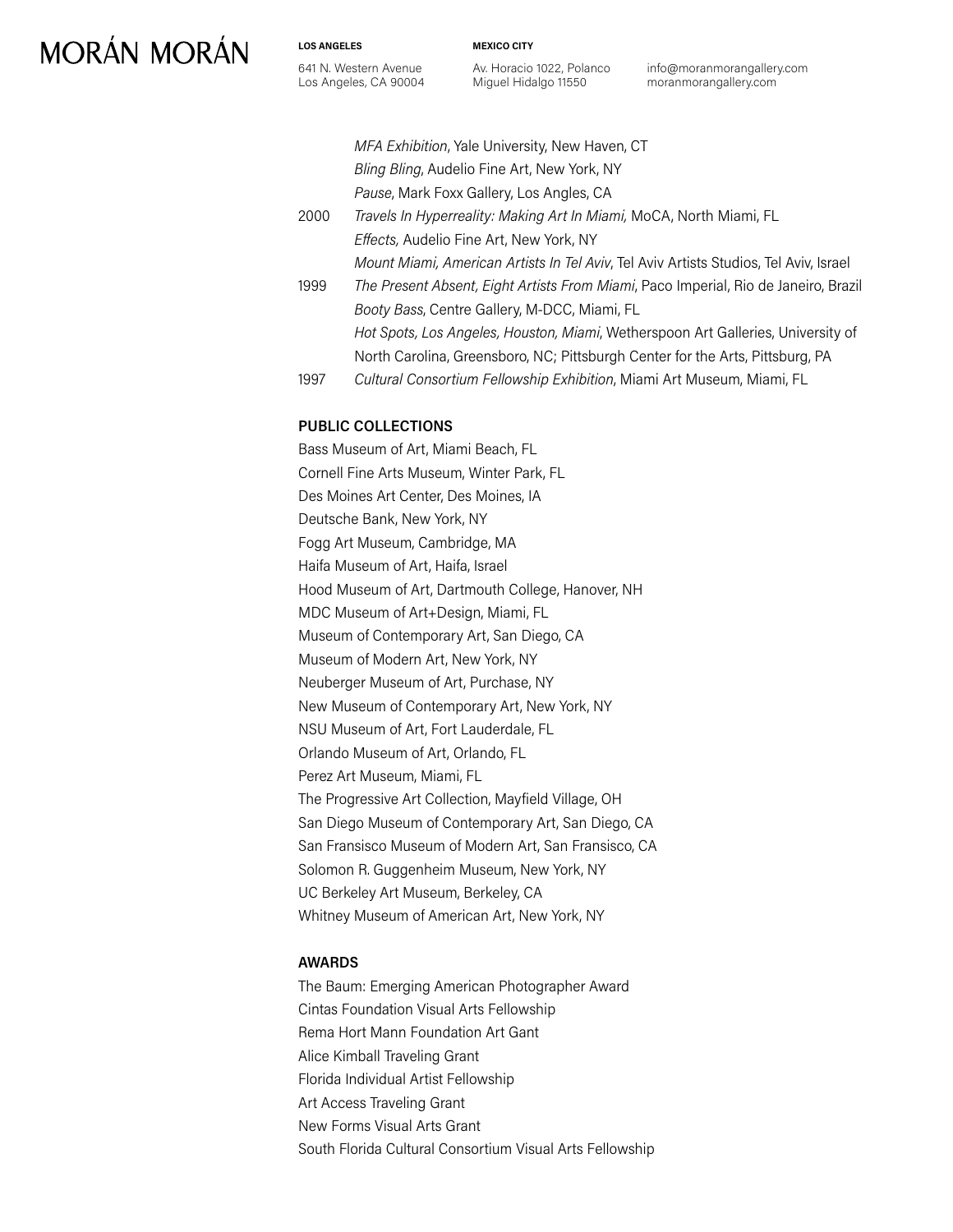**LOS ANGELES** 641 N. Western Avenue Los Angeles, CA 90004 **MEXICO CITY**

Av. Horacio 1022, Polanco Miguel Hidalgo 11550

info@moranmorangallery.com moranmorangallery.com

*MFA Exhibition*, Yale University, New Haven, CT *Bling Bling*, Audelio Fine Art, New York, NY *Pause*, Mark Foxx Gallery, Los Angles, CA 2000 *Travels In Hyperreality: Making Art In Miami,* MoCA, North Miami, FL *Effects,* Audelio Fine Art, New York, NY *Mount Miami, American Artists In Tel Aviv*, Tel Aviv Artists Studios, Tel Aviv, Israel 1999 *The Present Absent, Eight Artists From Miami*, Paco Imperial, Rio de Janeiro, Brazil *Booty Bass*, Centre Gallery, M-DCC, Miami, FL *Hot Spots, Los Angeles, Houston, Miami*, Wetherspoon Art Galleries, University of North Carolina, Greensboro, NC; Pittsburgh Center for the Arts, Pittsburg, PA

1997 *Cultural Consortium Fellowship Exhibition*, Miami Art Museum, Miami, FL

#### **PUBLIC COLLECTIONS**

Bass Museum of Art, Miami Beach, FL Cornell Fine Arts Museum, Winter Park, FL Des Moines Art Center, Des Moines, IA Deutsche Bank, New York, NY Fogg Art Museum, Cambridge, MA Haifa Museum of Art, Haifa, Israel Hood Museum of Art, Dartmouth College, Hanover, NH MDC Museum of Art+Design, Miami, FL Museum of Contemporary Art, San Diego, CA Museum of Modern Art, New York, NY Neuberger Museum of Art, Purchase, NY New Museum of Contemporary Art, New York, NY NSU Museum of Art, Fort Lauderdale, FL Orlando Museum of Art, Orlando, FL Perez Art Museum, Miami, FL The Progressive Art Collection, Mayfield Village, OH San Diego Museum of Contemporary Art, San Diego, CA San Fransisco Museum of Modern Art, San Fransisco, CA Solomon R. Guggenheim Museum, New York, NY UC Berkeley Art Museum, Berkeley, CA Whitney Museum of American Art, New York, NY

### **AWARDS**

The Baum: Emerging American Photographer Award Cintas Foundation Visual Arts Fellowship Rema Hort Mann Foundation Art Gant Alice Kimball Traveling Grant Florida Individual Artist Fellowship Art Access Traveling Grant New Forms Visual Arts Grant South Florida Cultural Consortium Visual Arts Fellowship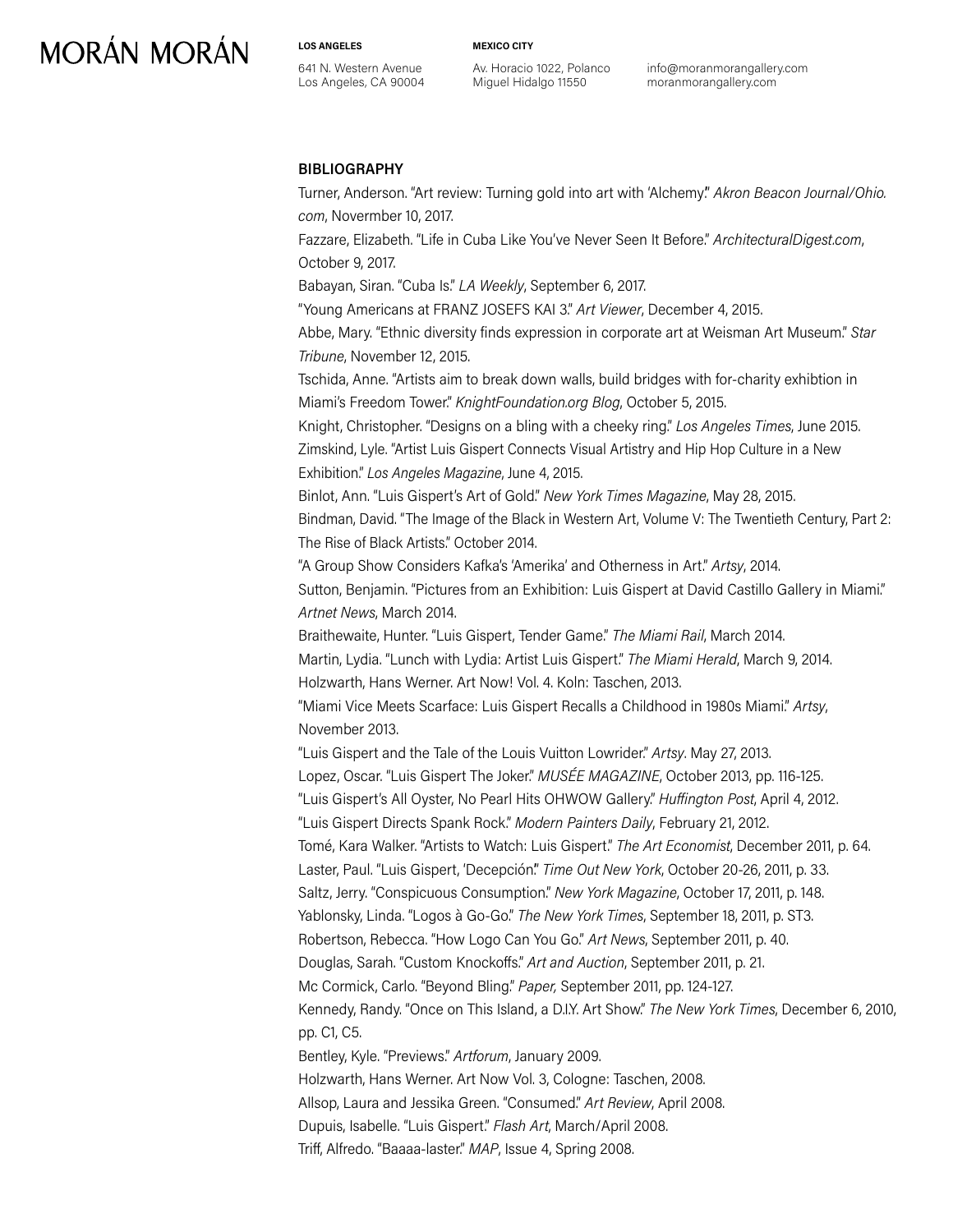**LOS ANGELES**

641 N. Western Avenue Los Angeles, CA 90004 **MEXICO CITY**

Av. Horacio 1022, Polanco Miguel Hidalgo 11550

info@moranmorangallery.com moranmorangallery.com

#### **BIBLIOGRAPHY**

Turner, Anderson. "Art review: Turning gold into art with 'Alchemy'." *Akron Beacon Journal/Ohio. com*, Novermber 10, 2017.

Fazzare, Elizabeth. "Life in Cuba Like You've Never Seen It Before." *ArchitecturalDigest.com*, October 9, 2017.

Babayan, Siran. "Cuba Is." *LA Weekly*, September 6, 2017.

"Young Americans at FRANZ JOSEFS KAI 3." *Art Viewer*, December 4, 2015.

Abbe, Mary. "Ethnic diversity finds expression in corporate art at Weisman Art Museum." *Star Tribune*, November 12, 2015.

Tschida, Anne. "Artists aim to break down walls, build bridges with for-charity exhibtion in Miami's Freedom Tower." *KnightFoundation.org Blog*, October 5, 2015.

Knight, Christopher. "Designs on a bling with a cheeky ring." *Los Angeles Times*, June 2015. Zimskind, Lyle. "Artist Luis Gispert Connects Visual Artistry and Hip Hop Culture in a New Exhibition." *Los Angeles Magazine*, June 4, 2015.

Binlot, Ann. "Luis Gispert's Art of Gold." *New York Times Magazine*, May 28, 2015. Bindman, David. "The Image of the Black in Western Art, Volume V: The Twentieth Century, Part 2: The Rise of Black Artists." October 2014.

"A Group Show Considers Kafka's 'Amerika' and Otherness in Art." *Artsy*, 2014. Sutton, Benjamin. "Pictures from an Exhibition: Luis Gispert at David Castillo Gallery in Miami." *Artnet News*, March 2014.

Braithewaite, Hunter. "Luis Gispert, Tender Game." *The Miami Rail*, March 2014. Martin, Lydia. "Lunch with Lydia: Artist Luis Gispert." *The Miami Herald*, March 9, 2014. Holzwarth, Hans Werner. Art Now! Vol. 4. Koln: Taschen, 2013.

"Miami Vice Meets Scarface: Luis Gispert Recalls a Childhood in 1980s Miami." *Artsy*, November 2013.

"Luis Gispert and the Tale of the Louis Vuitton Lowrider." *Artsy*. May 27, 2013. Lopez, Oscar. "Luis Gispert The Joker." *MUSÉE MAGAZINE*, October 2013, pp. 116-125. "Luis Gispert's All Oyster, No Pearl Hits OHWOW Gallery." *Huffington Post*, April 4, 2012. "Luis Gispert Directs Spank Rock." *Modern Painters Daily*, February 21, 2012. Tomé, Kara Walker. "Artists to Watch: Luis Gispert." *The Art Economist*, December 2011, p. 64. Laster, Paul. "Luis Gispert, 'Decepción'." *Time Out New York*, October 20-26, 2011, p. 33. Saltz, Jerry. "Conspicuous Consumption." *New York Magazine*, October 17, 2011, p. 148. Yablonsky, Linda. "Logos à Go-Go." *The New York Times*, September 18, 2011, p. ST3. Robertson, Rebecca. "How Logo Can You Go." *Art News*, September 2011, p. 40. Douglas, Sarah. "Custom Knockoffs." *Art and Auction*, September 2011, p. 21. Mc Cormick, Carlo. "Beyond Bling." *Paper,* September 2011, pp. 124-127. Kennedy, Randy. "Once on This Island, a D.I.Y. Art Show." *The New York Times*, December 6, 2010, pp. C1, C5. Bentley, Kyle. "Previews." *Artforum*, January 2009. Holzwarth, Hans Werner. Art Now Vol. 3, Cologne: Taschen, 2008. Allsop, Laura and Jessika Green. "Consumed." *Art Review*, April 2008. Dupuis, Isabelle. "Luis Gispert." *Flash Art*, March/April 2008.

Triff, Alfredo. "Baaaa-laster." *MAP*, Issue 4, Spring 2008.